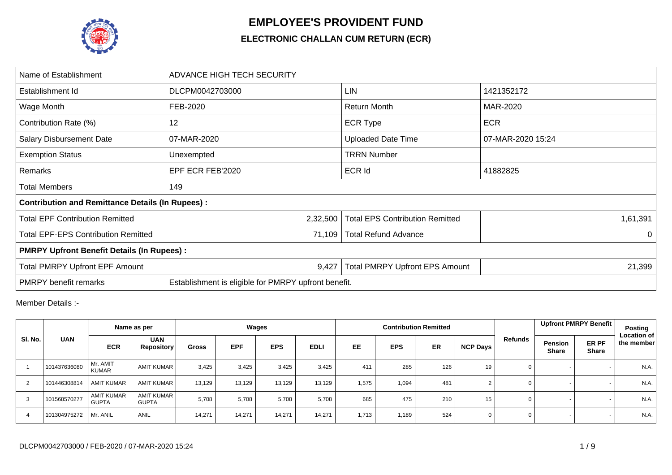

## **EMPLOYEE'S PROVIDENT FUND**

## **ELECTRONIC CHALLAN CUM RETURN (ECR)**

| Name of Establishment                                   | ADVANCE HIGH TECH SECURITY                           |                                        |                   |  |  |  |  |  |  |  |  |
|---------------------------------------------------------|------------------------------------------------------|----------------------------------------|-------------------|--|--|--|--|--|--|--|--|
| Establishment Id                                        | DLCPM0042703000                                      | LIN                                    | 1421352172        |  |  |  |  |  |  |  |  |
| Wage Month                                              | FEB-2020                                             | Return Month                           | MAR-2020          |  |  |  |  |  |  |  |  |
| Contribution Rate (%)                                   | 12                                                   | <b>ECR Type</b>                        | <b>ECR</b>        |  |  |  |  |  |  |  |  |
| <b>Salary Disbursement Date</b>                         | 07-MAR-2020                                          | <b>Uploaded Date Time</b>              | 07-MAR-2020 15:24 |  |  |  |  |  |  |  |  |
| <b>Exemption Status</b>                                 | Unexempted                                           | <b>TRRN Number</b>                     |                   |  |  |  |  |  |  |  |  |
| Remarks                                                 | EPF ECR FEB'2020                                     | <b>ECR Id</b>                          | 41882825          |  |  |  |  |  |  |  |  |
| <b>Total Members</b>                                    | 149                                                  |                                        |                   |  |  |  |  |  |  |  |  |
| <b>Contribution and Remittance Details (In Rupees):</b> |                                                      |                                        |                   |  |  |  |  |  |  |  |  |
| <b>Total EPF Contribution Remitted</b>                  | 2,32,500                                             | <b>Total EPS Contribution Remitted</b> | 1,61,391          |  |  |  |  |  |  |  |  |
| <b>Total EPF-EPS Contribution Remitted</b>              | 71,109                                               | <b>Total Refund Advance</b>            | $\Omega$          |  |  |  |  |  |  |  |  |
| <b>PMRPY Upfront Benefit Details (In Rupees):</b>       |                                                      |                                        |                   |  |  |  |  |  |  |  |  |
| <b>Total PMRPY Upfront EPF Amount</b>                   | 9,427                                                | <b>Total PMRPY Upfront EPS Amount</b>  | 21,399            |  |  |  |  |  |  |  |  |
| <b>PMRPY</b> benefit remarks                            | Establishment is eligible for PMRPY upfront benefit. |                                        |                   |  |  |  |  |  |  |  |  |

Member Details :-

|         |              |                                   | Name as per                       |              |            | Wages      |             |           |            | <b>Contribution Remitted</b> |                 |             | Upfront PMRPY Benefit   |                       | Posting<br><b>Location of</b> |
|---------|--------------|-----------------------------------|-----------------------------------|--------------|------------|------------|-------------|-----------|------------|------------------------------|-----------------|-------------|-------------------------|-----------------------|-------------------------------|
| SI. No. | <b>UAN</b>   | <b>ECR</b>                        | <b>UAN</b><br><b>Repository</b>   | <b>Gross</b> | <b>EPF</b> | <b>EPS</b> | <b>EDLI</b> | <b>EE</b> | <b>EPS</b> | <b>ER</b>                    | <b>NCP Days</b> | Refunds     | Pension<br><b>Share</b> | ER PF<br><b>Share</b> | the member                    |
|         | 101437636080 | Mr. AMIT<br><b>KUMAR</b>          | <b>AMIT KUMAR</b>                 | 3,425        | 3,425      | 3,425      | 3,425       | 411       | 285        | 126                          | 19              | 0           |                         |                       | N.A.                          |
| 2       | 101446308814 | <b>AMIT KUMAR</b>                 | <b>AMIT KUMAR</b>                 | 13,129       | 13,129     | 13,129     | 13,129      | 1,575     | 1,094      | 481                          |                 | $\mathbf 0$ |                         |                       | N.A.                          |
| 3       | 101568570277 | <b>AMIT KUMAR</b><br><b>GUPTA</b> | <b>AMIT KUMAR</b><br><b>GUPTA</b> | 5,708        | 5,708      | 5,708      | 5,708       | 685       | 475        | 210                          | 15              | 0           |                         |                       | N.A.                          |
| 4       | 101304975272 | Mr. ANIL                          | <b>ANIL</b>                       | 14,271       | 14,271     | 14.271     | 14.271      | 1,713     | 1,189      | 524                          | 0               | $\mathbf 0$ |                         |                       | N.A.                          |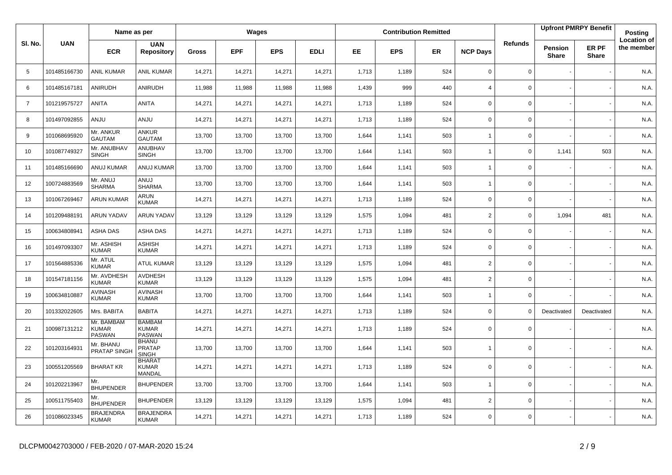|                   |              | Name as per                          |                                                |              |            | Wages      |             |           |            | <b>Contribution Remitted</b> |                          |                |                                | <b>Upfront PMRPY Benefit</b> | Posting                          |
|-------------------|--------------|--------------------------------------|------------------------------------------------|--------------|------------|------------|-------------|-----------|------------|------------------------------|--------------------------|----------------|--------------------------------|------------------------------|----------------------------------|
| SI. No.           | <b>UAN</b>   | <b>ECR</b>                           | <b>UAN</b><br><b>Repository</b>                | <b>Gross</b> | <b>EPF</b> | <b>EPS</b> | <b>EDLI</b> | <b>EE</b> | <b>EPS</b> | <b>ER</b>                    | <b>NCP Days</b>          | <b>Refunds</b> | <b>Pension</b><br><b>Share</b> | ER PF<br><b>Share</b>        | <b>Location of</b><br>the member |
| 5                 | 101485166730 | <b>ANIL KUMAR</b>                    | <b>ANIL KUMAR</b>                              | 14,271       | 14,271     | 14,271     | 14,271      | 1,713     | 1,189      | 524                          | $\mathbf 0$              | $\mathbf 0$    |                                |                              | N.A.                             |
| 6                 | 101485167181 | ANIRUDH                              | ANIRUDH                                        | 11,988       | 11,988     | 11,988     | 11,988      | 1,439     | 999        | 440                          | $\overline{4}$           | $\mathbf{0}$   |                                |                              | N.A.                             |
| $\overline{7}$    | 101219575727 | ANITA                                | ANITA                                          | 14,271       | 14,271     | 14,271     | 14,271      | 1,713     | 1,189      | 524                          | $\mathbf 0$              | 0              |                                |                              | N.A.                             |
| 8                 | 101497092855 | ANJU                                 | <b>ANJU</b>                                    | 14,271       | 14,271     | 14,271     | 14,271      | 1,713     | 1,189      | 524                          | $\mathsf 0$              | 0              |                                |                              | N.A.                             |
| 9                 | 101068695920 | Mr. ANKUR<br><b>GAUTAM</b>           | ANKUR<br><b>GAUTAM</b>                         | 13,700       | 13,700     | 13,700     | 13,700      | 1,644     | 1,141      | 503                          | $\mathbf{1}$             | 0              |                                |                              | N.A.                             |
| 10                | 101087749327 | Mr. ANUBHAV<br><b>SINGH</b>          | ANUBHAV<br><b>SINGH</b>                        | 13,700       | 13,700     | 13,700     | 13,700      | 1,644     | 1,141      | 503                          | $\overline{1}$           | 0              | 1,141                          | 503                          | N.A.                             |
| 11                | 101485166690 | ANUJ KUMAR                           | <b>ANUJ KUMAR</b>                              | 13,700       | 13,700     | 13,700     | 13,700      | 1,644     | 1,141      | 503                          | $\overline{1}$           | 0              |                                |                              | N.A.                             |
| $12 \overline{ }$ | 100724883569 | Mr. ANUJ<br><b>SHARMA</b>            | LUIA<br><b>SHARMA</b>                          | 13,700       | 13,700     | 13.700     | 13,700      | 1,644     | 1.141      | 503                          | $\overline{1}$           | 0              |                                |                              | N.A.                             |
| 13                | 101067269467 | <b>ARUN KUMAR</b>                    | ARUN<br><b>KUMAR</b>                           | 14,271       | 14,271     | 14,271     | 14,271      | 1,713     | 1,189      | 524                          | $\mathbf 0$              | $\mathbf 0$    |                                |                              | N.A.                             |
| 14                | 101209488191 | <b>ARUN YADAV</b>                    | <b>ARUN YADAV</b>                              | 13,129       | 13,129     | 13,129     | 13,129      | 1,575     | 1,094      | 481                          | $\overline{2}$           | $\mathbf{0}$   | 1,094                          | 481                          | N.A.                             |
| 15                | 100634808941 | <b>ASHA DAS</b>                      | ASHA DAS                                       | 14,271       | 14,271     | 14,271     | 14,271      | 1,713     | 1,189      | 524                          | 0                        | 0              |                                |                              | N.A.                             |
| 16                | 101497093307 | Mr. ASHISH<br><b>KUMAR</b>           | ASHISH<br><b>KUMAR</b>                         | 14,271       | 14,271     | 14,271     | 14,271      | 1,713     | 1,189      | 524                          | 0                        | 0              |                                |                              | N.A.                             |
| 17                | 101564885336 | Mr. ATUL<br><b>KUMAR</b>             | <b>ATUL KUMAR</b>                              | 13,129       | 13,129     | 13,129     | 13,129      | 1,575     | 1,094      | 481                          | $\overline{2}$           | 0              |                                |                              | N.A.                             |
| 18                | 101547181156 | Mr. AVDHESH<br><b>KUMAR</b>          | <b>AVDHESH</b><br><b>KUMAR</b>                 | 13,129       | 13,129     | 13,129     | 13,129      | 1,575     | 1,094      | 481                          | $\overline{2}$           | 0              |                                |                              | N.A.                             |
| 19                | 100634810887 | <b>AVINASH</b><br><b>KUMAR</b>       | <b>AVINASH</b><br><b>KUMAR</b>                 | 13,700       | 13,700     | 13,700     | 13,700      | 1,644     | 1,141      | 503                          | $\overline{1}$           | $\mathbf 0$    |                                |                              | N.A.                             |
| 20                | 101332022605 | Mrs. BABITA                          | <b>BABITA</b>                                  | 14,271       | 14,271     | 14,271     | 14,271      | 1,713     | 1,189      | 524                          | $\mathbf 0$              | $\Omega$       | Deactivated                    | Deactivated                  | N.A.                             |
| 21                | 100987131212 | Mr. BAMBAM<br><b>KUMAR</b><br>PASWAN | <b>BAMBAM</b><br><b>KUMAR</b><br><b>PASWAN</b> | 14,271       | 14,271     | 14,271     | 14,271      | 1,713     | 1,189      | 524                          | $\mathbf 0$              | 0              |                                |                              | N.A.                             |
| 22                | 101203164931 | Mr. BHANU<br>PRATAP SINGH            | <b>BHANU</b><br><b>PRATAP</b><br><b>SINGH</b>  | 13,700       | 13,700     | 13,700     | 13,700      | 1,644     | 1,141      | 503                          | $\overline{\phantom{a}}$ | $\mathbf 0$    |                                |                              | N.A.                             |
| 23                | 100551205569 | <b>BHARAT KR</b>                     | <b>BHARAT</b><br><b>KUMAR</b><br>MANDAL        | 14,271       | 14,271     | 14,271     | 14,271      | 1,713     | 1,189      | 524                          | $\mathbf 0$              | $\mathbf 0$    |                                |                              | N.A.                             |
| 24                | 101202213967 | Mr.<br><b>BHUPENDER</b>              | <b>BHUPENDER</b>                               | 13,700       | 13,700     | 13,700     | 13,700      | 1,644     | 1,141      | 503                          | $\overline{1}$           | 0              |                                |                              | N.A.                             |
| 25                | 100511755403 | Mr.<br><b>BHUPENDER</b>              | <b>BHUPENDER</b>                               | 13,129       | 13,129     | 13,129     | 13,129      | 1,575     | 1,094      | 481                          | 2                        | 0              |                                |                              | N.A.                             |
| 26                | 101086023345 | <b>BRAJENDRA</b><br><b>KUMAR</b>     | <b>BRAJENDRA</b><br><b>KUMAR</b>               | 14,271       | 14,271     | 14,271     | 14,271      | 1,713     | 1,189      | 524                          | $\Omega$                 | 0              |                                |                              | N.A.                             |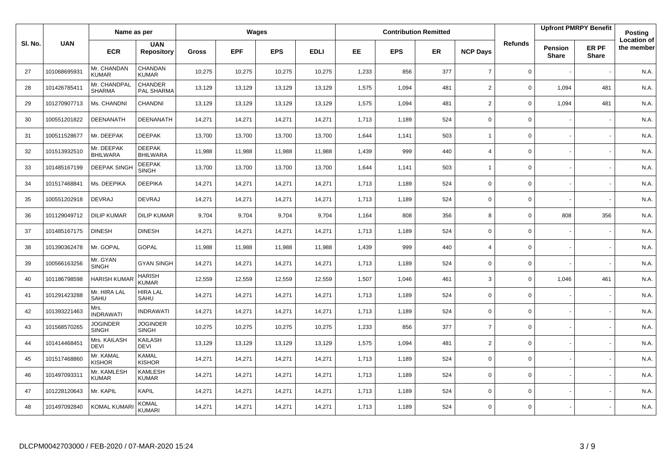|         |              | Name as per                     |                                  |              |            | Wages      |             |           |            | <b>Contribution Remitted</b> |                 |                |                         | <b>Upfront PMRPY Benefit</b> | Posting                          |
|---------|--------------|---------------------------------|----------------------------------|--------------|------------|------------|-------------|-----------|------------|------------------------------|-----------------|----------------|-------------------------|------------------------------|----------------------------------|
| SI. No. | <b>UAN</b>   | <b>ECR</b>                      | <b>UAN</b><br><b>Repository</b>  | <b>Gross</b> | <b>EPF</b> | <b>EPS</b> | <b>EDLI</b> | <b>EE</b> | <b>EPS</b> | <b>ER</b>                    | <b>NCP Days</b> | <b>Refunds</b> | Pension<br><b>Share</b> | ER PF<br><b>Share</b>        | <b>Location of</b><br>the member |
| 27      | 101068695931 | Mr. CHANDAN<br><b>KUMAR</b>     | CHANDAN<br><b>KUMAR</b>          | 10,275       | 10,275     | 10,275     | 10,275      | 1,233     | 856        | 377                          | $\overline{7}$  | $\mathbf 0$    |                         |                              | N.A.                             |
| 28      | 101426785411 | Mr. CHANDPAL<br><b>SHARMA</b>   | <b>CHANDER</b><br>PAL SHARMA     | 13,129       | 13,129     | 13,129     | 13,129      | 1,575     | 1,094      | 481                          | $\overline{2}$  | $\mathbf 0$    | 1,094                   | 481                          | N.A.                             |
| 29      | 101270907713 | Ms. CHANDNI                     | CHANDNI                          | 13,129       | 13,129     | 13,129     | 13,129      | 1,575     | 1,094      | 481                          | $\overline{2}$  | $\mathbf 0$    | 1,094                   | 481                          | N.A.                             |
| 30      | 100551201822 | DEENANATH                       | DEENANATH                        | 14,271       | 14,271     | 14,271     | 14,271      | 1,713     | 1,189      | 524                          | $\mathbf 0$     | $\mathbf 0$    |                         |                              | N.A.                             |
| 31      | 100511528677 | Mr. DEEPAK                      | <b>DEEPAK</b>                    | 13,700       | 13,700     | 13,700     | 13,700      | 1,644     | 1,141      | 503                          | $\overline{1}$  | $\mathbf 0$    |                         |                              | N.A.                             |
| 32      | 101513932510 | Mr. DEEPAK<br><b>BHILWARA</b>   | <b>DEEPAK</b><br><b>BHILWARA</b> | 11,988       | 11,988     | 11,988     | 11,988      | 1,439     | 999        | 440                          | $\overline{4}$  | $\mathsf 0$    |                         |                              | N.A.                             |
| 33      | 101485167199 | <b>DEEPAK SINGH</b>             | <b>DEEPAK</b><br><b>SINGH</b>    | 13,700       | 13,700     | 13,700     | 13,700      | 1,644     | 1,141      | 503                          | $\overline{1}$  | $\mathsf 0$    |                         |                              | N.A.                             |
| 34      | 101517468841 | Ms. DEEPIKA                     | <b>DEEPIKA</b>                   | 14,271       | 14,271     | 14,271     | 14,271      | 1,713     | 1,189      | 524                          | $\mathbf 0$     | 0              |                         |                              | N.A.                             |
| 35      | 100551202918 | <b>DEVRAJ</b>                   | <b>DEVRAJ</b>                    | 14,271       | 14,271     | 14,271     | 14,271      | 1,713     | 1,189      | 524                          | $\mathbf 0$     | 0              |                         |                              | N.A.                             |
| 36      | 101129049712 | <b>DILIP KUMAR</b>              | <b>DILIP KUMAR</b>               | 9,704        | 9,704      | 9,704      | 9,704       | 1,164     | 808        | 356                          | 8               | 0              | 808                     | 356                          | N.A.                             |
| 37      | 101485167175 | <b>DINESH</b>                   | <b>DINESH</b>                    | 14,271       | 14,271     | 14,271     | 14,271      | 1,713     | 1,189      | 524                          | $\mathbf 0$     | $\mathbf 0$    |                         |                              | N.A.                             |
| 38      | 101390362478 | Mr. GOPAL                       | <b>GOPAL</b>                     | 11,988       | 11,988     | 11,988     | 11,988      | 1,439     | 999        | 440                          | $\overline{4}$  | 0              |                         |                              | N.A.                             |
| 39      | 100566163256 | Mr. GYAN<br><b>SINGH</b>        | <b>GYAN SINGH</b>                | 14,271       | 14,271     | 14,271     | 14,271      | 1,713     | 1,189      | 524                          | $\mathbf 0$     | $\mathbf 0$    |                         |                              | N.A.                             |
| 40      | 101186798598 | <b>HARISH KUMA</b>              | <b>HARISH</b><br><b>KUMAR</b>    | 12,559       | 12,559     | 12,559     | 12,559      | 1,507     | 1,046      | 461                          | 3               | $\mathbf 0$    | 1,046                   | 461                          | N.A.                             |
| 41      | 101291423288 | Mr. HIRA LAL<br>SAHU            | <b>HIRA LAL</b><br>SAHU          | 14,271       | 14,271     | 14,271     | 14,271      | 1,713     | 1,189      | 524                          | $\mathbf 0$     | $\mathbf 0$    |                         |                              | N.A.                             |
| 42      | 101393221463 | Mrs.<br><b>INDRAWATI</b>        | <b>INDRAWATI</b>                 | 14,271       | 14,271     | 14,271     | 14,271      | 1,713     | 1,189      | 524                          | $\mathbf 0$     | $\mathbf 0$    |                         |                              | N.A.                             |
| 43      | 101568570265 | <b>JOGINDER</b><br><b>SINGH</b> | <b>JOGINDER</b><br><b>SINGH</b>  | 10,275       | 10,275     | 10,275     | 10,275      | 1,233     | 856        | 377                          | $\overline{7}$  | $\mathbf 0$    |                         |                              | N.A.                             |
| 44      | 101414468451 | Mrs. KAILASH<br><b>DEVI</b>     | KAILASH<br><b>DEVI</b>           | 13,129       | 13,129     | 13,129     | 13,129      | 1,575     | 1,094      | 481                          | $\overline{2}$  | $\mathbf 0$    |                         |                              | N.A.                             |
| 45      | 101517468860 | Mr. KAMAL<br>KISHOR             | KAMAL<br><b>KISHOR</b>           | 14,271       | 14,271     | 14,271     | 14,271      | 1,713     | 1,189      | 524                          | $\mathbf 0$     | $\mathbf 0$    |                         |                              | N.A.                             |
| 46      | 101497093311 | Mr. KAMLESH<br><b>KUMAR</b>     | <b>KAMLESH</b><br><b>KUMAR</b>   | 14,271       | 14,271     | 14,271     | 14,271      | 1,713     | 1,189      | 524                          | $\mathbf 0$     | $\mathbf 0$    |                         |                              | N.A.                             |
| 47      | 101228120643 | Mr. KAPIL                       | <b>KAPIL</b>                     | 14,271       | 14,271     | 14,271     | 14,271      | 1,713     | 1,189      | 524                          | $\mathbf 0$     | $\mathbf 0$    |                         |                              | N.A.                             |
| 48      | 101497092840 | KOMAL KUMARI                    | <b>KOMAL</b><br><b>KUMARI</b>    | 14,271       | 14,271     | 14,271     | 14,271      | 1,713     | 1,189      | 524                          | $\Omega$        | $\mathbf 0$    |                         |                              | N.A.                             |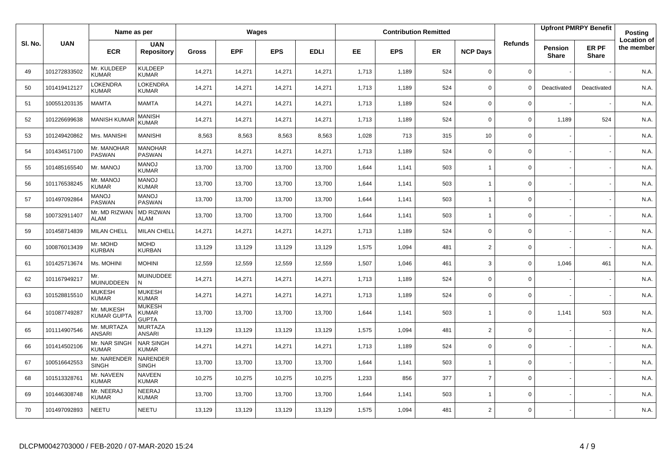|         |              | Name as per                      |                                               |              |            | Wages      |             |       |            | <b>Contribution Remitted</b> |                 |                |                         | <b>Upfront PMRPY Benefit</b> | Posting                          |
|---------|--------------|----------------------------------|-----------------------------------------------|--------------|------------|------------|-------------|-------|------------|------------------------------|-----------------|----------------|-------------------------|------------------------------|----------------------------------|
| SI. No. | <b>UAN</b>   | <b>ECR</b>                       | <b>UAN</b><br><b>Repository</b>               | <b>Gross</b> | <b>EPF</b> | <b>EPS</b> | <b>EDLI</b> | EE    | <b>EPS</b> | ER                           | <b>NCP Days</b> | <b>Refunds</b> | Pension<br><b>Share</b> | ER PF<br><b>Share</b>        | <b>Location of</b><br>the member |
| 49      | 101272833502 | Mr. KULDEEP<br><b>KUMAR</b>      | <b>KULDEEP</b><br><b>KUMAR</b>                | 14,271       | 14,271     | 14,271     | 14,271      | 1,713 | 1,189      | 524                          | $\mathbf 0$     | 0              |                         |                              | N.A.                             |
| 50      | 101419412127 | LOKENDRA<br><b>KUMAR</b>         | <b>LOKENDRA</b><br><b>KUMAR</b>               | 14,271       | 14,271     | 14,271     | 14,271      | 1,713 | 1,189      | 524                          | $\mathbf 0$     | $\Omega$       | Deactivated             | Deactivated                  | N.A.                             |
| 51      | 100551203135 | <b>MAMTA</b>                     | MAMTA                                         | 14,271       | 14,271     | 14,271     | 14,271      | 1,713 | 1,189      | 524                          | $\mathbf 0$     | 0              |                         |                              | N.A.                             |
| 52      | 101226699638 | <b>MANISH KUMA</b>               | MANISH<br><b>KUMAR</b>                        | 14,271       | 14,271     | 14,271     | 14,271      | 1,713 | 1,189      | 524                          | $\mathbf 0$     | 0              | 1,189                   | 524                          | N.A.                             |
| 53      | 101249420862 | Mrs. MANISHI                     | <b>MANISHI</b>                                | 8,563        | 8,563      | 8,563      | 8,563       | 1,028 | 713        | 315                          | 10              | 0              |                         |                              | N.A.                             |
| 54      | 101434517100 | Mr. MANOHAR<br><b>PASWAN</b>     | <b>MANOHAR</b><br>PASWAN                      | 14,271       | 14,271     | 14,271     | 14,271      | 1,713 | 1,189      | 524                          | $\mathbf 0$     | 0              |                         |                              | N.A.                             |
| 55      | 101485165540 | Mr. MANOJ                        | <b>MANOJ</b><br><b>KUMAR</b>                  | 13,700       | 13,700     | 13,700     | 13,700      | 1,644 | 1,141      | 503                          | $\overline{1}$  | 0              |                         |                              | N.A.                             |
| 56      | 101176538245 | Mr. MANOJ<br><b>KUMAR</b>        | <b>MANOJ</b><br><b>KUMAR</b>                  | 13,700       | 13,700     | 13,700     | 13,700      | 1,644 | 1,141      | 503                          | $\overline{1}$  | 0              |                         |                              | N.A.                             |
| 57      | 101497092864 | <b>MANOJ</b><br><b>PASWAN</b>    | <b>MANOJ</b><br><b>PASWAN</b>                 | 13,700       | 13,700     | 13,700     | 13,700      | 1,644 | 1,141      | 503                          | $\overline{1}$  | 0              |                         |                              | N.A.                             |
| 58      | 100732911407 | Mr. MD RIZWAN<br><b>ALAM</b>     | <b>MD RIZWAN</b><br><b>ALAM</b>               | 13,700       | 13,700     | 13,700     | 13,700      | 1,644 | 1,141      | 503                          | $\overline{1}$  | 0              |                         |                              | N.A.                             |
| 59      | 101458714839 | <b>MILAN CHELL</b>               | <b>MILAN CHELL</b>                            | 14,271       | 14,271     | 14,271     | 14,271      | 1,713 | 1,189      | 524                          | 0               | 0              |                         |                              | N.A.                             |
| 60      | 100876013439 | Mr. MOHD<br>KURBAN               | <b>MOHD</b><br><b>KURBAN</b>                  | 13,129       | 13,129     | 13,129     | 13,129      | 1,575 | 1,094      | 481                          | $\overline{2}$  | 0              |                         |                              | N.A.                             |
| 61      | 101425713674 | Ms. MOHINI                       | <b>MOHINI</b>                                 | 12,559       | 12,559     | 12,559     | 12,559      | 1,507 | 1,046      | 461                          | 3               | 0              | 1,046                   | 461                          | N.A.                             |
| 62      | 101167949217 | Mr.<br>MUINUDDEEN                | <b>MUINUDDEE</b><br>N                         | 14,271       | 14,271     | 14,271     | 14,271      | 1,713 | 1,189      | 524                          | 0               | 0              |                         |                              | N.A.                             |
| 63      | 101528815510 | <b>MUKESH</b><br><b>KUMAR</b>    | <b>MUKESH</b><br><b>KUMAR</b>                 | 14,271       | 14,271     | 14,271     | 14,271      | 1,713 | 1,189      | 524                          | 0               | 0              |                         |                              | N.A.                             |
| 64      | 101087749287 | Mr. MUKESH<br><b>KUMAR GUPT/</b> | <b>MUKESH</b><br><b>KUMAR</b><br><b>GUPTA</b> | 13,700       | 13,700     | 13,700     | 13,700      | 1,644 | 1,141      | 503                          | $\overline{1}$  | $\mathbf 0$    | 1,141                   | 503                          | N.A.                             |
| 65      | 101114907546 | Mr. MURTAZA<br><b>ANSARI</b>     | <b>MURTAZA</b><br><b>ANSARI</b>               | 13,129       | 13,129     | 13,129     | 13,129      | 1,575 | 1,094      | 481                          | $\overline{2}$  | 0              |                         |                              | N.A.                             |
| 66      | 101414502106 | Mr. NAR SINGH<br><b>KUMAR</b>    | <b>NAR SINGH</b><br><b>KUMAR</b>              | 14,271       | 14,271     | 14,271     | 14,271      | 1,713 | 1,189      | 524                          | $\Omega$        | 0              |                         |                              | N.A.                             |
| 67      | 100516642553 | Mr. NARENDER<br><b>SINGH</b>     | <b>NARENDER</b><br><b>SINGH</b>               | 13,700       | 13,700     | 13,700     | 13,700      | 1,644 | 1,141      | 503                          | $\overline{1}$  | 0              |                         |                              | N.A.                             |
| 68      | 101513328761 | Mr. NAVEEN<br><b>KUMAR</b>       | <b>NAVEEN</b><br><b>KUMAR</b>                 | 10,275       | 10,275     | 10,275     | 10,275      | 1,233 | 856        | 377                          | $\overline{7}$  | 0              |                         |                              | N.A.                             |
| 69      | 101446308748 | Mr. NEERAJ<br><b>KUMAR</b>       | NEERAJ<br><b>KUMAR</b>                        | 13,700       | 13,700     | 13,700     | 13,700      | 1,644 | 1,141      | 503                          | $\overline{1}$  | 0              |                         |                              | N.A.                             |
| 70      | 101497092893 | NEETU                            | NEETU                                         | 13,129       | 13,129     | 13,129     | 13,129      | 1,575 | 1,094      | 481                          | $\overline{2}$  | 0              |                         |                              | N.A.                             |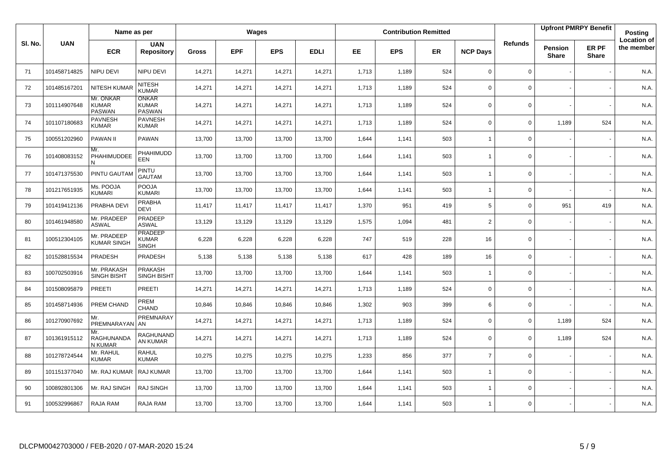|         |              | Name as per                                |                                                |              |            | Wages      |             |       |            | <b>Contribution Remitted</b> |                 |                |                         | <b>Upfront PMRPY Benefit</b> | Posting                          |
|---------|--------------|--------------------------------------------|------------------------------------------------|--------------|------------|------------|-------------|-------|------------|------------------------------|-----------------|----------------|-------------------------|------------------------------|----------------------------------|
| SI. No. | <b>UAN</b>   | <b>ECR</b>                                 | <b>UAN</b><br><b>Repository</b>                | <b>Gross</b> | <b>EPF</b> | <b>EPS</b> | <b>EDLI</b> | EE    | <b>EPS</b> | <b>ER</b>                    | <b>NCP Days</b> | <b>Refunds</b> | Pension<br><b>Share</b> | ER PF<br><b>Share</b>        | <b>Location of</b><br>the member |
| 71      | 101458714825 | NIPU DEVI                                  | NIPU DEVI                                      | 14,271       | 14,271     | 14,271     | 14,271      | 1,713 | 1,189      | 524                          | $\mathbf 0$     | $\mathbf{0}$   |                         |                              | N.A.                             |
| 72      | 101485167201 | <b>NITESH KUMAF</b>                        | <b>NITESH</b><br><b>KUMAR</b>                  | 14,271       | 14,271     | 14,271     | 14,271      | 1,713 | 1,189      | 524                          | 0               | 0              |                         |                              | N.A.                             |
| 73      | 101114907648 | Mr. ONKAR<br><b>KUMAR</b><br><b>PASWAN</b> | <b>ONKAR</b><br><b>KUMAR</b><br><b>PASWAN</b>  | 14,271       | 14,271     | 14,271     | 14,271      | 1,713 | 1,189      | 524                          | $\mathbf 0$     | $\mathbf 0$    |                         |                              | N.A.                             |
| 74      | 101107180683 | <b>PAVNESH</b><br><b>KUMAR</b>             | <b>PAVNESH</b><br><b>KUMAR</b>                 | 14,271       | 14,271     | 14,271     | 14,271      | 1,713 | 1,189      | 524                          | $\Omega$        | 0              | 1,189                   | 524                          | N.A.                             |
| 75      | 100551202960 | <b>PAWAN II</b>                            | <b>PAWAN</b>                                   | 13,700       | 13,700     | 13,700     | 13,700      | 1,644 | 1,141      | 503                          | $\overline{1}$  | 0              |                         |                              | N.A.                             |
| 76      | 101408083152 | Mr.<br>PHAHIMUDDEE<br>N                    | PHAHIMUDD<br>EEN                               | 13,700       | 13,700     | 13,700     | 13,700      | 1,644 | 1,141      | 503                          | $\overline{1}$  | 0              |                         |                              | N.A.                             |
| 77      | 101471375530 | PINTU GAUTAM                               | <b>PINTU</b><br><b>GAUTAM</b>                  | 13,700       | 13,700     | 13,700     | 13,700      | 1,644 | 1,141      | 503                          | $\overline{1}$  | 0              |                         |                              | N.A.                             |
| 78      | 101217651935 | Ms. POOJA<br>KUMARI                        | POOJA<br><b>KUMARI</b>                         | 13,700       | 13,700     | 13,700     | 13,700      | 1,644 | 1,141      | 503                          | $\overline{1}$  | 0              |                         |                              | N.A.                             |
| 79      | 101419412136 | PRABHA DEVI                                | <b>PRABHA</b><br>DEVI                          | 11,417       | 11,417     | 11,417     | 11,417      | 1,370 | 951        | 419                          | 5               | 0              | 951                     | 419                          | N.A.                             |
| 80      | 101461948580 | Mr. PRADEEP<br><b>ASWAL</b>                | PRADEEP<br><b>ASWAL</b>                        | 13,129       | 13,129     | 13,129     | 13,129      | 1,575 | 1,094      | 481                          | $\overline{2}$  | 0              |                         |                              | N.A.                             |
| 81      | 100512304105 | Mr. PRADEEP<br><b>KUMAR SINGH</b>          | <b>PRADEEP</b><br><b>KUMAR</b><br><b>SINGH</b> | 6,228        | 6,228      | 6,228      | 6,228       | 747   | 519        | 228                          | 16              | $\mathbf 0$    |                         |                              | N.A.                             |
| 82      | 101528815534 | PRADESH                                    | PRADESH                                        | 5,138        | 5,138      | 5,138      | 5,138       | 617   | 428        | 189                          | 16              | 0              |                         |                              | N.A.                             |
| 83      | 100702503916 | Mr. PRAKASH<br><b>SINGH BISHT</b>          | PRAKASH<br><b>SINGH BISHT</b>                  | 13,700       | 13,700     | 13,700     | 13,700      | 1,644 | 1,141      | 503                          | $\overline{1}$  | $\mathbf 0$    |                         |                              | N.A.                             |
| 84      | 101508095879 | <b>PREETI</b>                              | PREETI                                         | 14,271       | 14,271     | 14,271     | 14,271      | 1,713 | 1,189      | 524                          | $\mathbf 0$     | $\mathbf 0$    |                         |                              | N.A.                             |
| 85      | 101458714936 | PREM CHAND                                 | PREM<br>CHAND                                  | 10,846       | 10,846     | 10,846     | 10,846      | 1,302 | 903        | 399                          | 6               | $\mathbf 0$    |                         |                              | N.A.                             |
| 86      | 101270907692 | Mr.<br>PREMNARAYAN                         | PREMNARAY<br>AN                                | 14,271       | 14,271     | 14,271     | 14,271      | 1,713 | 1,189      | 524                          | $\mathbf 0$     | 0              | 1,189                   | 524                          | N.A.                             |
| 87      | 101361915112 | Mr.<br><b>RAGHUNANDA</b><br>N KUMAR        | RAGHUNAND<br>AN KUMAR                          | 14,271       | 14,271     | 14,271     | 14,271      | 1,713 | 1,189      | 524                          | $\mathbf 0$     | $\mathbf 0$    | 1,189                   | 524                          | N.A.                             |
| 88      | 101278724544 | Mr. RAHUL<br><b>KUMAR</b>                  | <b>RAHUL</b><br><b>KUMAR</b>                   | 10,275       | 10,275     | 10,275     | 10,275      | 1,233 | 856        | 377                          | $\overline{7}$  | 0              |                         |                              | N.A.                             |
| 89      | 101151377040 | Mr. RAJ KUMAR   RAJ KUMAR                  |                                                | 13,700       | 13,700     | 13,700     | 13,700      | 1,644 | 1,141      | 503                          | $\overline{1}$  | 0              |                         |                              | N.A.                             |
| 90      | 100892801306 | Mr. RAJ SINGH                              | <b>RAJ SINGH</b>                               | 13,700       | 13,700     | 13,700     | 13,700      | 1,644 | 1,141      | 503                          | $\overline{1}$  | 0              |                         |                              | N.A.                             |
| 91      | 100532996867 | <b>RAJA RAM</b>                            | RAJA RAM                                       | 13,700       | 13,700     | 13,700     | 13,700      | 1,644 | 1,141      | 503                          | $\overline{1}$  | 0              |                         |                              | N.A.                             |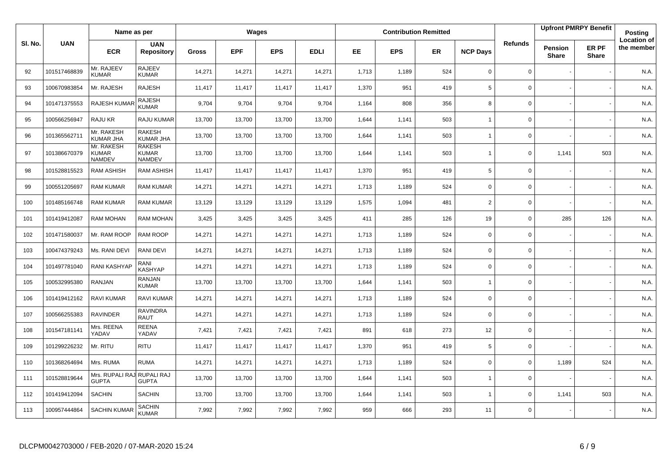|         |              | Name as per                                 |                                         |              |            | Wages      |             |       |            | <b>Contribution Remitted</b> |                 |                |                         | <b>Upfront PMRPY Benefit</b> | Posting                          |
|---------|--------------|---------------------------------------------|-----------------------------------------|--------------|------------|------------|-------------|-------|------------|------------------------------|-----------------|----------------|-------------------------|------------------------------|----------------------------------|
| SI. No. | <b>UAN</b>   | <b>ECR</b>                                  | <b>UAN</b><br><b>Repository</b>         | <b>Gross</b> | <b>EPF</b> | <b>EPS</b> | <b>EDLI</b> | EE    | <b>EPS</b> | <b>ER</b>                    | <b>NCP Days</b> | <b>Refunds</b> | Pension<br><b>Share</b> | ER PF<br>Share               | <b>Location of</b><br>the member |
| 92      | 101517468839 | Mr. RAJEEV<br><b>KUMAR</b>                  | <b>RAJEEV</b><br><b>KUMAR</b>           | 14,271       | 14,271     | 14,271     | 14,271      | 1,713 | 1,189      | 524                          | $\mathbf 0$     | $\mathbf 0$    |                         |                              | N.A.                             |
| 93      | 100670983854 | Mr. RAJESH                                  | <b>RAJESH</b>                           | 11,417       | 11,417     | 11,417     | 11,417      | 1,370 | 951        | 419                          | $5\phantom{.0}$ | $\Omega$       |                         |                              | N.A.                             |
| 94      | 101471375553 | RAJESH KUMAR                                | <b>RAJESH</b><br><b>KUMAR</b>           | 9,704        | 9,704      | 9,704      | 9,704       | 1,164 | 808        | 356                          | 8               | $\mathbf 0$    |                         |                              | N.A.                             |
| 95      | 100566256947 | RAJU KR                                     | <b>RAJU KUMAR</b>                       | 13,700       | 13,700     | 13,700     | 13,700      | 1,644 | 1,141      | 503                          | $\overline{1}$  | $\Omega$       |                         |                              | N.A.                             |
| 96      | 101365562711 | Mr. RAKESH<br><b>KUMAR JHA</b>              | <b>RAKESH</b><br>KUMAR JHA              | 13,700       | 13,700     | 13,700     | 13,700      | 1,644 | 1,141      | 503                          | $\overline{1}$  | $\mathbf 0$    |                         |                              | N.A.                             |
| 97      | 101386670379 | Mr. RAKESH<br><b>KUMAR</b><br><b>NAMDEV</b> | <b>RAKESH</b><br><b>KUMAR</b><br>NAMDEV | 13,700       | 13,700     | 13,700     | 13,700      | 1,644 | 1,141      | 503                          | $\mathbf{1}$    | $\mathbf 0$    | 1,141                   | 503                          | N.A.                             |
| 98      | 101528815523 | <b>RAM ASHISH</b>                           | <b>RAM ASHISH</b>                       | 11,417       | 11,417     | 11,417     | 11,417      | 1,370 | 951        | 419                          | 5               | $\mathbf 0$    |                         |                              | N.A.                             |
| 99      | 100551205697 | <b>RAM KUMAR</b>                            | <b>RAM KUMAR</b>                        | 14,271       | 14,271     | 14,271     | 14,271      | 1,713 | 1,189      | 524                          | $\mathbf 0$     | $\mathbf 0$    |                         |                              | N.A.                             |
| 100     | 101485166748 | <b>RAM KUMAR</b>                            | <b>RAM KUMAR</b>                        | 13,129       | 13,129     | 13,129     | 13,129      | 1,575 | 1,094      | 481                          | 2               | $\mathbf 0$    |                         |                              | N.A.                             |
| 101     | 101419412087 | <b>RAM MOHAN</b>                            | <b>RAM MOHAN</b>                        | 3,425        | 3,425      | 3,425      | 3,425       | 411   | 285        | 126                          | 19              | $\mathbf 0$    | 285                     | 126                          | N.A.                             |
| 102     | 101471580037 | Mr. RAM ROOP                                | RAM ROOP                                | 14,271       | 14,271     | 14,271     | 14,271      | 1,713 | 1.189      | 524                          | $\mathbf 0$     | $\mathbf 0$    |                         |                              | N.A                              |
| 103     | 100474379243 | Ms. RANI DEVI                               | RANI DEVI                               | 14,271       | 14,271     | 14,271     | 14,271      | 1,713 | 1,189      | 524                          | $\mathbf 0$     | $\mathbf 0$    |                         |                              | N.A.                             |
| 104     | 101497781040 | RANI KASHYAP                                | RANI<br>KASHYAP                         | 14,271       | 14,271     | 14,271     | 14,271      | 1,713 | 1,189      | 524                          | $\mathbf 0$     | $\mathbf{0}$   |                         |                              | N.A.                             |
| 105     | 100532995380 | RANJAN                                      | <b>RANJAN</b><br><b>KUMAR</b>           | 13,700       | 13,700     | 13,700     | 13,700      | 1,644 | 1,141      | 503                          | $\overline{1}$  | $\mathbf 0$    |                         |                              | N.A.                             |
| 106     | 101419412162 | RAVI KUMAR                                  | <b>RAVI KUMAR</b>                       | 14,271       | 14,271     | 14,271     | 14,271      | 1,713 | 1,189      | 524                          | $\mathbf 0$     | $\mathbf 0$    |                         |                              | N.A.                             |
| 107     | 100566255383 | <b>RAVINDER</b>                             | <b>RAVINDRA</b><br>RAUT                 | 14,271       | 14,271     | 14,271     | 14,271      | 1,713 | 1,189      | 524                          | $\mathbf 0$     | $\mathbf 0$    |                         |                              | N.A.                             |
| 108     | 101547181141 | Mrs. REENA<br>YADAV                         | <b>REENA</b><br>YADAV                   | 7,421        | 7,421      | 7,421      | 7,421       | 891   | 618        | 273                          | 12              | $\mathbf 0$    |                         |                              | N.A.                             |
| 109     | 101299226232 | Mr. RITU                                    | <b>RITU</b>                             | 11,417       | 11,417     | 11,417     | 11,417      | 1,370 | 951        | 419                          | 5               | $\mathbf 0$    |                         |                              | N.A.                             |
| 110     | 101368264694 | Mrs. RUMA                                   | <b>RUMA</b>                             | 14,271       | 14,271     | 14,271     | 14,271      | 1,713 | 1,189      | 524                          | $\mathbf 0$     | $\mathbf 0$    | 1,189                   | 524                          | N.A.                             |
| 111     | 101528819644 | Mrs. RUPALI RAJ RUPALI RAJ<br><b>GUPTA</b>  | <b>GUPTA</b>                            | 13,700       | 13,700     | 13,700     | 13,700      | 1,644 | 1,141      | 503                          | $\overline{1}$  | $\mathbf 0$    |                         |                              | N.A.                             |
| 112     | 101419412094 | <b>SACHIN</b>                               | <b>SACHIN</b>                           | 13,700       | 13,700     | 13,700     | 13,700      | 1,644 | 1,141      | 503                          | $\overline{1}$  | $\mathbf 0$    | 1,141                   | 503                          | N.A.                             |
| 113     | 100957444864 | <b>SACHIN KUMAR</b>                         | <b>SACHIN</b><br><b>KUMAR</b>           | 7,992        | 7,992      | 7,992      | 7,992       | 959   | 666        | 293                          | 11              | $\mathbf 0$    |                         |                              | N.A.                             |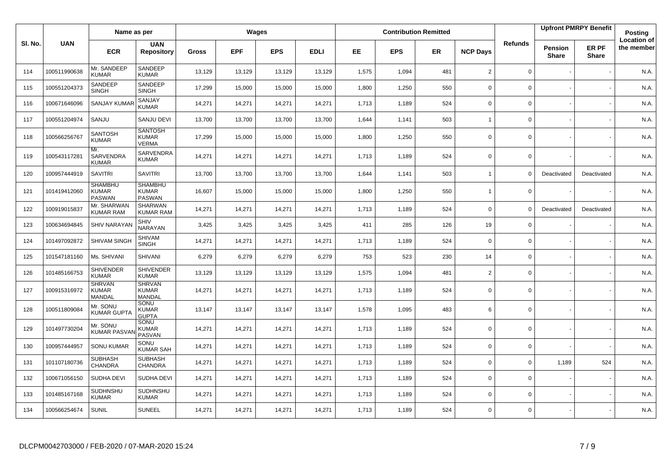|         |              | Name as per                              |                                                |        |            | Wages      |             |       |            | <b>Contribution Remitted</b> |                          |                |                                | <b>Upfront PMRPY Benefit</b> | Posting                          |
|---------|--------------|------------------------------------------|------------------------------------------------|--------|------------|------------|-------------|-------|------------|------------------------------|--------------------------|----------------|--------------------------------|------------------------------|----------------------------------|
| SI. No. | <b>UAN</b>   | <b>ECR</b>                               | <b>UAN</b><br><b>Repository</b>                | Gross  | <b>EPF</b> | <b>EPS</b> | <b>EDLI</b> | EE    | <b>EPS</b> | <b>ER</b>                    | <b>NCP Days</b>          | <b>Refunds</b> | <b>Pension</b><br><b>Share</b> | ER PF<br><b>Share</b>        | <b>Location of</b><br>the member |
| 114     | 100511990638 | Mr. SANDEEP<br><b>KUMAR</b>              | SANDEEP<br><b>KUMAR</b>                        | 13,129 | 13,129     | 13,129     | 13,129      | 1,575 | 1,094      | 481                          | 2                        | 0              |                                |                              | N.A.                             |
| 115     | 100551204373 | SANDEEP<br><b>SINGH</b>                  | SANDEEP<br><b>SINGH</b>                        | 17,299 | 15,000     | 15,000     | 15,000      | 1,800 | 1,250      | 550                          | $\mathbf 0$              | 0              |                                |                              | N.A.                             |
| 116     | 100671646096 | SANJAY KUMA                              | SANJAY<br><b>KUMAR</b>                         | 14,271 | 14,271     | 14,271     | 14,271      | 1,713 | 1,189      | 524                          | $\Omega$                 | 0              |                                |                              | N.A.                             |
| 117     | 100551204974 | SANJU                                    | SANJU DEVI                                     | 13,700 | 13,700     | 13,700     | 13,700      | 1,644 | 1,141      | 503                          | $\overline{1}$           | $\mathbf 0$    |                                |                              | N.A.                             |
| 118     | 100566256767 | <b>SANTOSH</b><br><b>KUMAR</b>           | <b>SANTOSH</b><br><b>KUMAR</b><br><b>VERMA</b> | 17,299 | 15,000     | 15,000     | 15,000      | 1,800 | 1,250      | 550                          | $\mathbf 0$              | 0              |                                |                              | N.A.                             |
| 119     | 100543117281 | Mr.<br>SARVENDRA<br><b>KUMAR</b>         | <b>SARVENDRA</b><br><b>KUMAR</b>               | 14,271 | 14,271     | 14,271     | 14,271      | 1,713 | 1,189      | 524                          | $\Omega$                 | 0              |                                |                              | N.A.                             |
| 120     | 100957444919 | <b>SAVITRI</b>                           | <b>SAVITRI</b>                                 | 13,700 | 13,700     | 13,700     | 13,700      | 1,644 | 1,141      | 503                          | $\overline{\phantom{a}}$ | $\Omega$       | Deactivated                    | Deactivated                  | N.A.                             |
| 121     | 101419412060 | <b>SHAMBHU</b><br><b>KUMAR</b><br>PASWAN | <b>SHAMBHU</b><br><b>KUMAR</b><br>PASWAN       | 16,607 | 15,000     | 15,000     | 15,000      | 1,800 | 1,250      | 550                          | $\overline{1}$           | 0              |                                |                              | N.A.                             |
| 122     | 100919015837 | Mr. SHARWAN<br><b>KUMAR RAM</b>          | <b>SHARWAN</b><br><b>KUMAR RAM</b>             | 14,271 | 14,271     | 14,271     | 14,271      | 1,713 | 1,189      | 524                          | $\Omega$                 | $\Omega$       | Deactivated                    | Deactivated                  | N.A.                             |
| 123     | 100634694845 | <b>SHIV NARAYAN</b>                      | SHIV<br>NARAYAN                                | 3,425  | 3,425      | 3,425      | 3,425       | 411   | 285        | 126                          | 19                       | $\mathbf 0$    |                                |                              | N.A.                             |
| 124     | 101497092872 | SHIVAM SINGH                             | <b>SHIVAM</b><br><b>SINGH</b>                  | 14,271 | 14,271     | 14,271     | 14,271      | 1,713 | 1,189      | 524                          | $\mathbf 0$              | $\mathbf 0$    |                                |                              | N.A.                             |
| 125     | 101547181160 | Ms. SHIVANI                              | SHIVANI                                        | 6,279  | 6,279      | 6,279      | 6,279       | 753   | 523        | 230                          | 14                       | $\mathbf 0$    |                                |                              | N.A.                             |
| 126     | 101485166753 | <b>SHIVENDER</b><br><b>KUMAR</b>         | <b>SHIVENDER</b><br><b>KUMAR</b>               | 13,129 | 13,129     | 13,129     | 13,129      | 1,575 | 1,094      | 481                          | $\overline{2}$           | 0              |                                |                              | N.A.                             |
| 127     | 100915316972 | <b>SHRVAN</b><br><b>KUMAR</b><br>MANDAL  | <b>SHRVAN</b><br><b>KUMAR</b><br><b>MANDAL</b> | 14,271 | 14,271     | 14,271     | 14,271      | 1,713 | 1,189      | 524                          | $\mathbf 0$              | 0              |                                |                              | N.A.                             |
| 128     | 100511809084 | Mr. SONU<br><b>KUMAR GUPTA</b>           | SONU<br><b>KUMAR</b><br><b>GUPTA</b>           | 13,147 | 13,147     | 13,147     | 13,147      | 1,578 | 1,095      | 483                          | 6                        | 0              |                                |                              | N.A.                             |
| 129     | 101497730204 | Mr. SONU<br><b>KUMAR PASVA</b>           | SONU<br><b>KUMAR</b><br><b>PASVAN</b>          | 14,271 | 14,271     | 14,271     | 14,271      | 1,713 | 1,189      | 524                          | $\mathbf 0$              | 0              |                                |                              | N.A.                             |
| 130     | 100957444957 | <b>SONU KUMAR</b>                        | SONU<br><b>KUMAR SAH</b>                       | 14,271 | 14,271     | 14,271     | 14,271      | 1,713 | 1,189      | 524                          | $\Omega$                 | $\Omega$       |                                |                              | N.A.                             |
| 131     | 101107180736 | <b>SUBHASH</b><br><b>CHANDRA</b>         | <b>SUBHASH</b><br>CHANDRA                      | 14,271 | 14,271     | 14,271     | 14,271      | 1,713 | 1,189      | 524                          | $\Omega$                 | $\mathbf 0$    | 1,189                          | 524                          | N.A.                             |
| 132     | 100671056150 | SUDHA DEVI                               | SUDHA DEVI                                     | 14,271 | 14,271     | 14,271     | 14,271      | 1,713 | 1,189      | 524                          | $\Omega$                 | 0              |                                |                              | N.A.                             |
| 133     | 101485167168 | <b>SUDHNSHU</b><br><b>KUMAR</b>          | <b>SUDHNSHU</b><br><b>KUMAR</b>                | 14,271 | 14,271     | 14,271     | 14,271      | 1,713 | 1,189      | 524                          | $\Omega$                 | 0              |                                |                              | N.A.                             |
| 134     | 100566254674 | <b>SUNIL</b>                             | <b>SUNEEL</b>                                  | 14,271 | 14,271     | 14,271     | 14,271      | 1,713 | 1,189      | 524                          | $\Omega$                 | 0              |                                |                              | N.A.                             |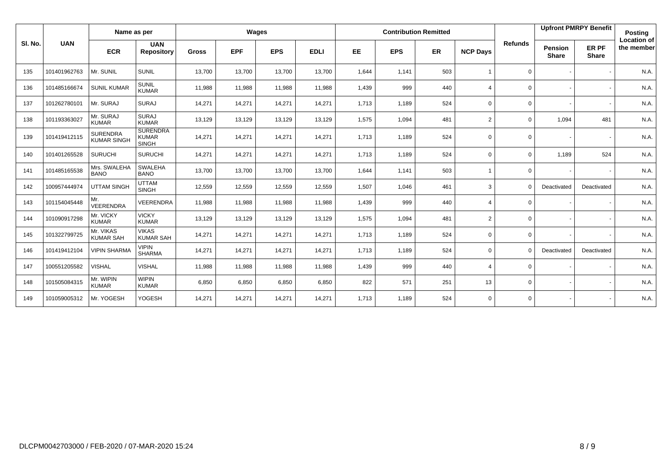|         |              | Name as per                           |                                                 |              |            | Wages      |             |       |            | <b>Contribution Remitted</b> |                          |                |                                | <b>Upfront PMRPY Benefit</b> | Posting                          |
|---------|--------------|---------------------------------------|-------------------------------------------------|--------------|------------|------------|-------------|-------|------------|------------------------------|--------------------------|----------------|--------------------------------|------------------------------|----------------------------------|
| SI. No. | <b>UAN</b>   | <b>ECR</b>                            | <b>UAN</b><br><b>Repository</b>                 | <b>Gross</b> | <b>EPF</b> | <b>EPS</b> | <b>EDLI</b> | EE    | <b>EPS</b> | ER                           | <b>NCP Days</b>          | <b>Refunds</b> | <b>Pension</b><br><b>Share</b> | ER PF<br><b>Share</b>        | <b>Location of</b><br>the member |
| 135     | 101401962763 | Mr. SUNIL                             | <b>SUNIL</b>                                    | 13,700       | 13,700     | 13,700     | 13,700      | 1,644 | 1,141      | 503                          |                          | $\mathbf 0$    |                                |                              | N.A.                             |
| 136     | 101485166674 | <b>SUNIL KUMAR</b>                    | <b>SUNIL</b><br><b>KUMAR</b>                    | 11,988       | 11,988     | 11,988     | 11,988      | 1,439 | 999        | 440                          | $\boldsymbol{\Delta}$    | $\mathbf 0$    |                                |                              | N.A.                             |
| 137     | 101262780101 | Mr. SURAJ                             | <b>SURAJ</b>                                    | 14,271       | 14,271     | 14,271     | 14,271      | 1,713 | 1,189      | 524                          | $\mathbf 0$              | 0              |                                |                              | N.A.                             |
| 138     | 101193363027 | Mr. SURAJ<br><b>KUMAR</b>             | <b>SURAJ</b><br><b>KUMAR</b>                    | 13,129       | 13,129     | 13,129     | 13,129      | 1,575 | 1,094      | 481                          | $\overline{2}$           | $\mathbf 0$    | 1,094                          | 481                          | N.A.                             |
| 139     | 101419412115 | <b>SURENDRA</b><br><b>KUMAR SINGH</b> | <b>SURENDRA</b><br><b>KUMAR</b><br><b>SINGH</b> | 14,271       | 14,271     | 14,271     | 14,271      | 1,713 | 1,189      | 524                          | $\Omega$                 | $\mathbf 0$    |                                |                              | N.A.                             |
| 140     | 101401265528 | <b>SURUCHI</b>                        | <b>SURUCHI</b>                                  | 14,271       | 14,271     | 14,271     | 14,271      | 1,713 | 1,189      | 524                          | $\Omega$                 | $\mathbf 0$    | 1,189                          | 524                          | N.A.                             |
| 141     | 101485165538 | Mrs. SWALEHA<br><b>BANO</b>           | <b>SWALEHA</b><br><b>BANO</b>                   | 13,700       | 13,700     | 13,700     | 13,700      | 1,644 | 1,141      | 503                          |                          | 0              |                                |                              | N.A.                             |
| 142     | 100957444974 | <b>UTTAM SINGH</b>                    | <b>UTTAM</b><br><b>SINGH</b>                    | 12,559       | 12,559     | 12,559     | 12,559      | 1,507 | 1,046      | 461                          | 3                        | $\Omega$       | Deactivated                    | Deactivated                  | N.A.                             |
| 143     | 101154045448 | Mr.<br><b>VEERENDRA</b>               | <b>VEERENDRA</b>                                | 11,988       | 11,988     | 11,988     | 11,988      | 1,439 | 999        | 440                          | $\boldsymbol{\Delta}$    | $\Omega$       |                                |                              | N.A.                             |
| 144     | 101090917298 | Mr. VICKY<br><b>KUMAR</b>             | <b>VICKY</b><br><b>KUMAR</b>                    | 13,129       | 13,129     | 13,129     | 13,129      | 1,575 | 1,094      | 481                          | 2                        | 0              |                                |                              | N.A.                             |
| 145     | 101322799725 | Mr. VIKAS<br><b>KUMAR SAH</b>         | <b>VIKAS</b><br><b>KUMAR SAH</b>                | 14,271       | 14,271     | 14,271     | 14,271      | 1,713 | 1,189      | 524                          | $\mathbf 0$              | $\mathbf 0$    |                                |                              | N.A.                             |
| 146     | 101419412104 | <b>VIPIN SHARMA</b>                   | <b>VIPIN</b><br><b>SHARMA</b>                   | 14,271       | 14,271     | 14,271     | 14,271      | 1,713 | 1,189      | 524                          | $\mathbf 0$              | 0              | Deactivated                    | Deactivated                  | N.A.                             |
| 147     | 100551205582 | <b>VISHAL</b>                         | <b>VISHAL</b>                                   | 11,988       | 11,988     | 11,988     | 11,988      | 1,439 | 999        | 440                          | $\boldsymbol{\varDelta}$ | $\Omega$       |                                |                              | N.A.                             |
| 148     | 101505084315 | Mr. WIPIN<br><b>KUMAR</b>             | <b>WIPIN</b><br><b>KUMAR</b>                    | 6,850        | 6,850      | 6,850      | 6,850       | 822   | 571        | 251                          | 13                       | $\Omega$       |                                |                              | N.A.                             |
| 149     | 101059005312 | Mr. YOGESH                            | <b>YOGESH</b>                                   | 14,271       | 14,271     | 14,271     | 14,271      | 1,713 | 1,189      | 524                          | $\Omega$                 | $\mathbf 0$    |                                |                              | N.A.                             |